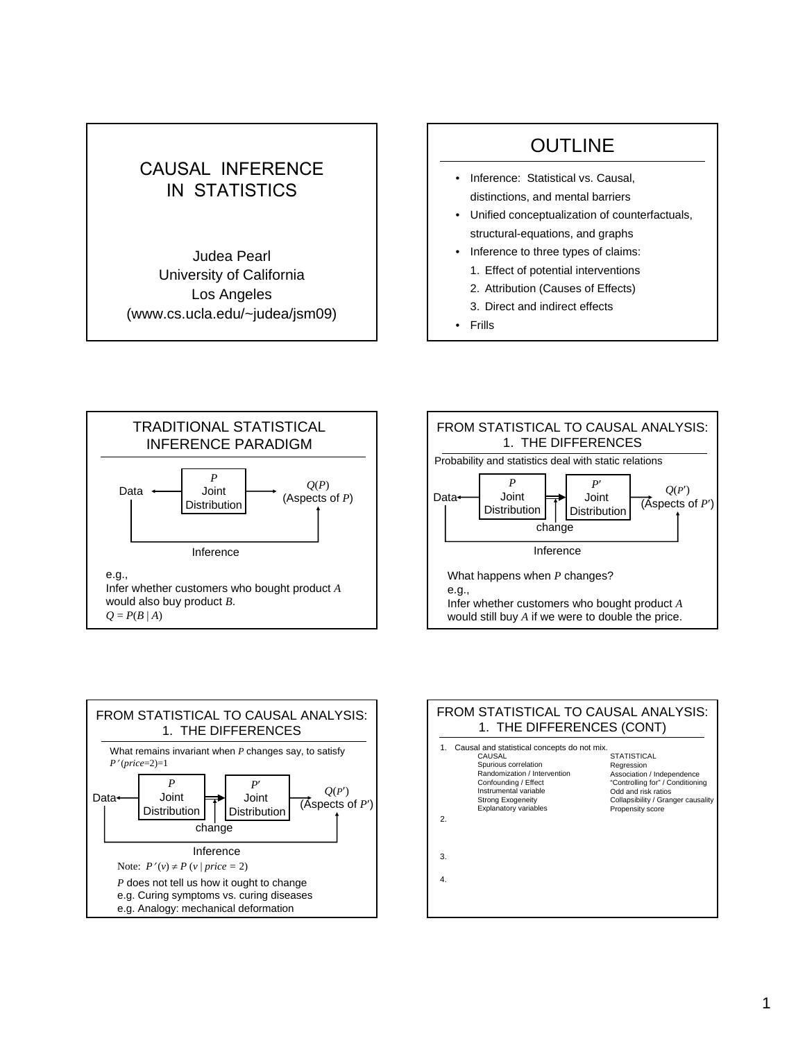## CAUSAL INFERENCE IN STATISTICS

Judea Pearl University of California Los Angeles (www.cs.ucla.edu/~judea/jsm09)

## OUTLINE

- Inference: Statistical vs. Causal, distinctions, and mental barriers
- Unified conceptualization of counterfactuals, structural-equations, and graphs
- Inference to three types of claims:
	- 1. Effect of potential interventions
	- 2. Attribution (Causes of Effects)
	- 3. Direct and indirect effects
- Frills







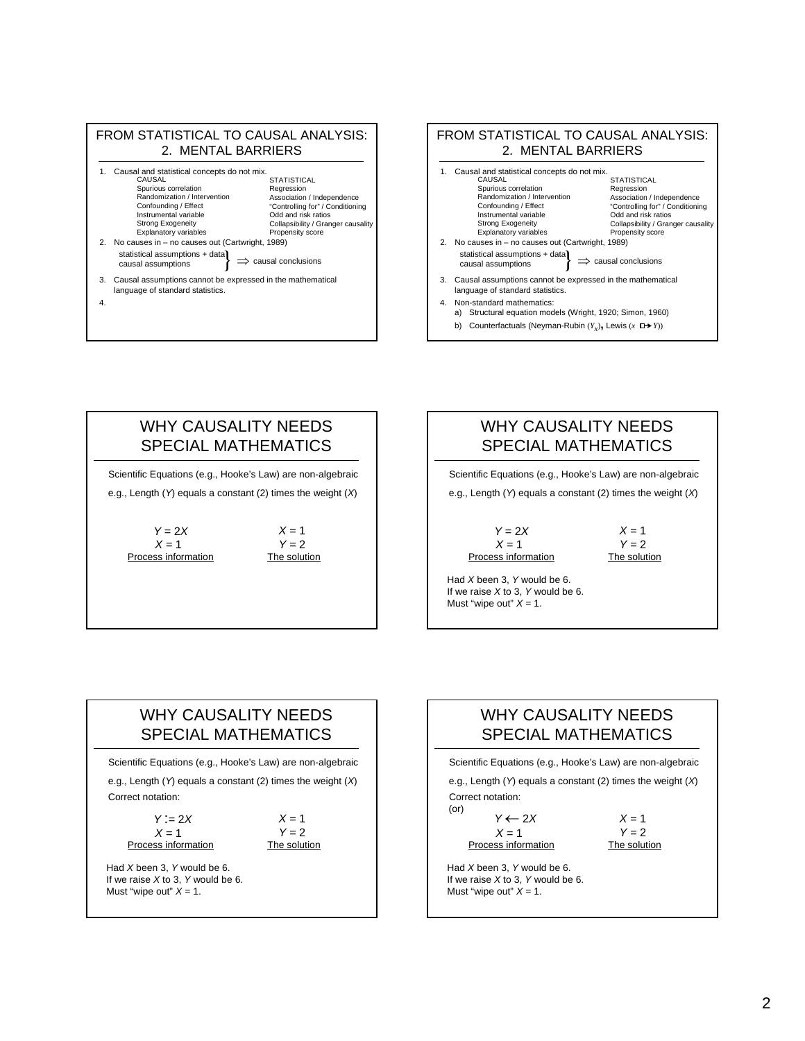



## WHY CAUSALITY NEEDS SPECIAL MATHEMATICS

e.g., Length (*Y*) equals a constant (2) times the weight (*X*) Scientific Equations (e.g., Hooke's Law) are non-algebraic

 $Y = 2X$ Process information  $X = 1$ 

 $X = 1$  $Y = 2$ <br>The solution

### WHY CAUSALITY NEEDS SPECIAL MATHEMATICS

 $Y = 2X$  $X = 1$  $Y = 2$ <br>The solution Process information  $X = 1$ e.g., Length (*Y*) equals a constant (2) times the weight (*X*) Scientific Equations (e.g., Hooke's Law) are non-algebraic

Had *X* been 3, *Y* would be 6. If we raise *X* to 3, *Y* would be 6. Must "wipe out"  $X = 1$ .

## WHY CAUSALITY NEEDS SPECIAL MATHEMATICS

Scientific Equations (e.g., Hooke's Law) are non-algebraic

Correct notation: e.g., Length (*Y*) equals a constant (2) times the weight (*X*)

*Y* :*=* 2*X* Process information The solution  $X = 1$ 

 $X = 1$ *Y =* 2

Had *X* been 3, *Y* would be 6. If we raise *X* to 3, *Y* would be 6. Must "wipe out"  $X = 1$ .

## WHY CAUSALITY NEEDS SPECIAL MATHEMATICS

Scientific Equations (e.g., Hooke's Law) are non-algebraic

(or) Correct notation: e.g., Length (*Y*) equals a constant (2) times the weight (*X*)

*Y* ← 2*X*  $X = 1$ 

Process information

 $X = 1$ *Y =* 2 The solution

Had *X* been 3, *Y* would be 6. If we raise *X* to 3, *Y* would be 6. Must "wipe out"  $X = 1$ .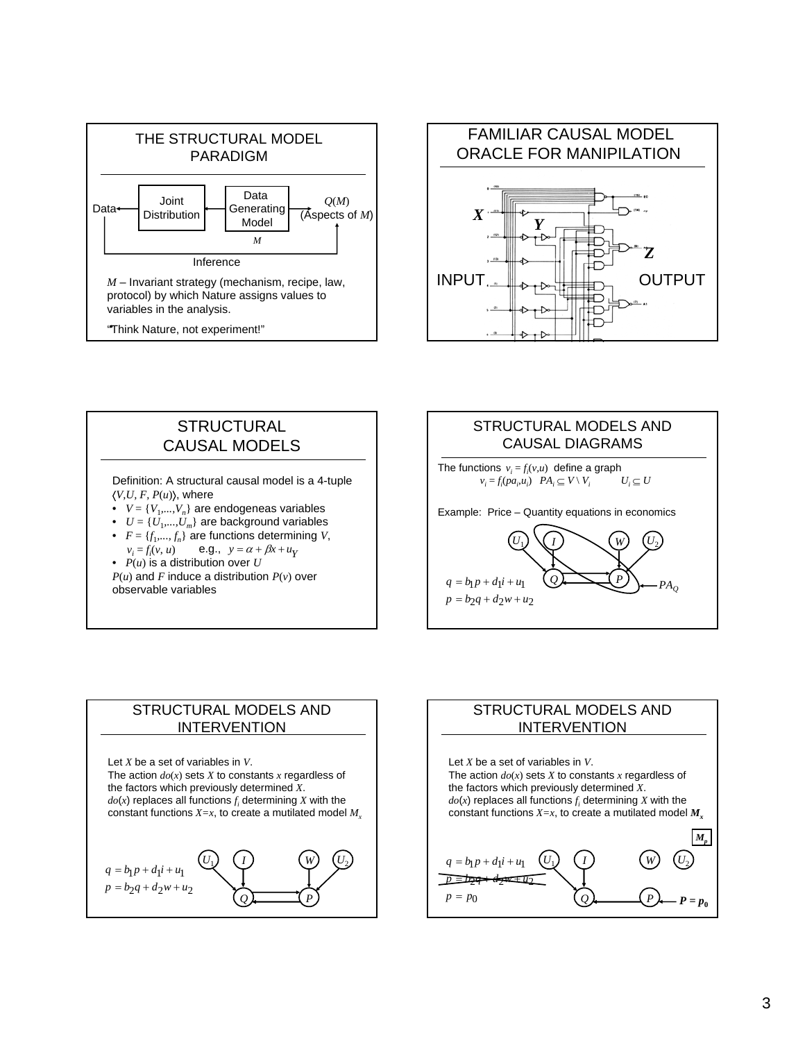



## **STRUCTURAL** CAUSAL MODELS

Definition: A structural causal model is a 4-tuple  $\langle V, U, F, P(u) \rangle$ , where

- $V = \{V_1, ..., V_n\}$  are endogeneas variables
- $U = \{U_1, ..., U_m\}$  are background variables
- $F = \{f_1, ..., f_n\}$  are functions determining *V*, **e.g.,**  $y = \alpha + \beta x + u_y$

 $v_i = f_i(v, u)$ •  $P(u)$  is a distribution over  $U$ 

 $P(u)$  and *F* induce a distribution  $P(v)$  over observable variables



### STRUCTURAL MODELS AND INTERVENTION



### STRUCTURAL MODELS AND INTERVENTION

*U*<sub>1</sub> *(I)* (*W*) (*U*<sub>2</sub> 0  $Q$   $P$  *P P* = *p*<sub>0</sub> <del>29 = d2w ±</del> u2  $q = b_1 p + d_1 i + u_1$  $p = p$  $p = p$  *d*  $p \in \mathcal{U}$  $M_p$ Let *X* be a set of variables in *V*. The action  $do(x)$  sets *X* to constants *x* regardless of the factors which previously determined *X*.  $do(x)$  replaces all functions  $f_i$  determining  $X$  with the constant functions  $X=x$ , to create a mutilated model  $M<sub>x</sub>$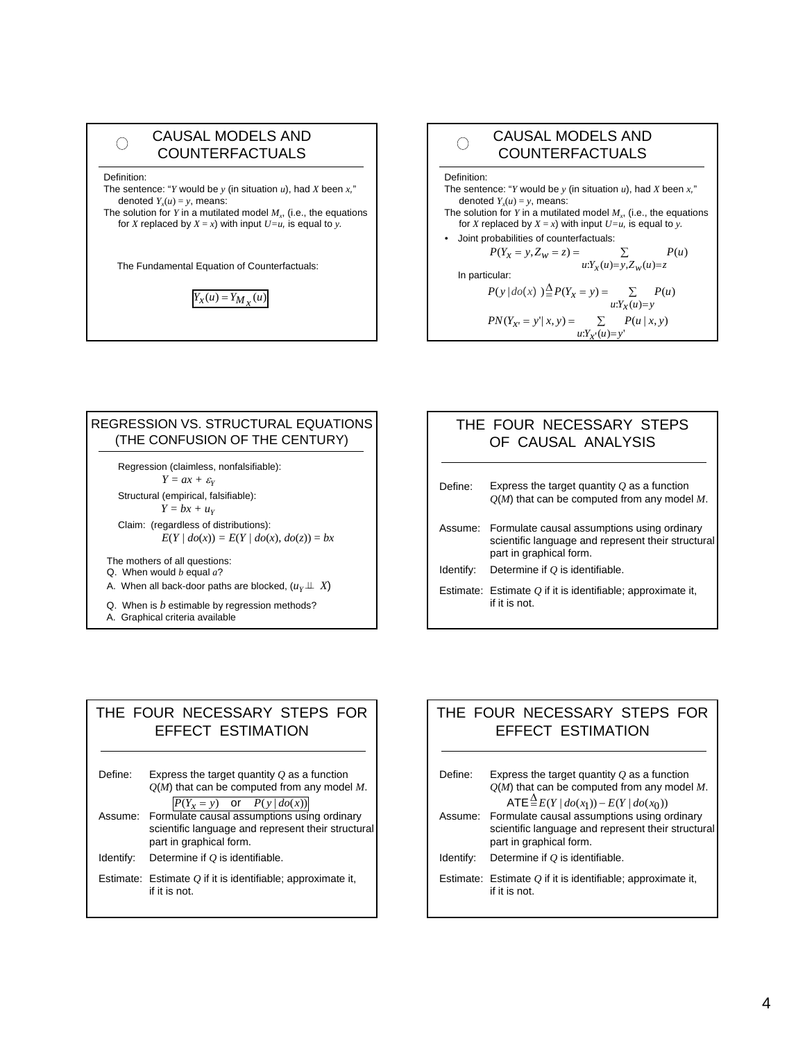| <b>CAUSAL MODELS AND</b><br><b>COUNTERFACTUALS</b>                                                                                                                                                                                                            |
|---------------------------------------------------------------------------------------------------------------------------------------------------------------------------------------------------------------------------------------------------------------|
| Definition:<br>The sentence: "Y would be y (in situation u), had X been x,"<br>denoted $Y_{y}(u) = y$ , means:<br>The solution for Y in a mutilated model $M_{\nu}$ , (i.e., the equations<br>for X replaced by $X = x$ ) with input $U = u$ , is equal to y. |
| The Fundamental Equation of Counterfactuals:                                                                                                                                                                                                                  |
| $Y_{X}(u) = Y_{M_{Y}}(u)$                                                                                                                                                                                                                                     |

#### CAUSAL MODELS AND  $\bigcirc$ COUNTERFACTUALS Definition: The sentence: "*Y* would be *y* (in situation  $u$ ), had *X* been  $x$ ," denoted  $Y_x(u) = y$ , means: The solution for  $\overline{Y}$  in a mutilated model  $M_x$ , (i.e., the equations for *X* replaced by  $X = x$ ) with input  $U = u$ , is equal to *y*. • Joint probabilities of counterfactuals:  $P(Y_x = y, Z_w = z) =$   $\sum$   $P(u)$  $x = y, Z_w = z$ ) =  $\sum_{u:Y_x(u) = y, Z_w(u) = z}$ In particular:  $P(y | do(x)) \stackrel{\Delta}{=} P(Y_x = y) = \sum P(u)$  $u: Y_X(u) = y$  $PN(Y_{X'} = y' | x, y) = \sum_{u: Y_{X'}(u) = y'} P(u | x, y)$  $(u)=y'$

#### REGRESSION VS. STRUCTURAL EQUATIONS (THE CONFUSION OF THE CENTURY) Regression (claimless, nonfalsifiable): *Y* =  $ax + \varepsilon_Y$ Structural (empirical, falsifiable):  $Y = bx + u_Y$ Claim: (regardless of distributions):  $E(Y \mid do(x)) = E(Y \mid do(x), do(z)) = bx$ Q. When is *b* estimable by regression methods? A. When all back-door paths are blocked,  $(\mu_Y \!\perp\!\!\!\perp \ X)$ The mothers of all questions: Q. When would *b* equal *a*?

A. Graphical criteria available

### THE FOUR NECESSARY STEPS OF CAUSAL ANALYSIS

| Define:   | Express the target quantity $Q$ as a function<br>$O(M)$ that can be computed from any model M.                                       |
|-----------|--------------------------------------------------------------------------------------------------------------------------------------|
|           | Assume: Formulate causal assumptions using ordinary<br>scientific language and represent their structural<br>part in graphical form. |
| Identify: | Determine if $O$ is identifiable.                                                                                                    |
|           | Estimate: Estimate $O$ if it is identifiable; approximate it,<br>if it is not.                                                       |

### THE FOUR NECESSARY STEPS FOR EFFECT ESTIMATION

| Define:   | Express the target quantity $Q$ as a function<br>$Q(M)$ that can be computed from any model M.                                                                           |
|-----------|--------------------------------------------------------------------------------------------------------------------------------------------------------------------------|
|           | $ P(Y_x = y)$ or $P(y   do(x)) $<br>Assume: Formulate causal assumptions using ordinary<br>scientific language and represent their structural<br>part in graphical form. |
| Identify: | Determine if Q is identifiable.                                                                                                                                          |
|           | Estimate: Estimate $O$ if it is identifiable; approximate it,<br>if it is not.                                                                                           |

### THE FOUR NECESSARY STEPS FOR EFFECT ESTIMATION

| Define:   | Express the target quantity $Q$ as a function<br>$Q(M)$ that can be computed from any model M.<br>$\mathsf{ATE} \stackrel{\Delta}{=} E(Y \mid do(x_1)) - E(Y \mid do(x_0))$ |
|-----------|-----------------------------------------------------------------------------------------------------------------------------------------------------------------------------|
| Assume:   | Formulate causal assumptions using ordinary<br>scientific language and represent their structural<br>part in graphical form.                                                |
| Identify: | Determine if $O$ is identifiable.                                                                                                                                           |
|           | Estimate: Estimate $O$ if it is identifiable; approximate it,<br>if it is not.                                                                                              |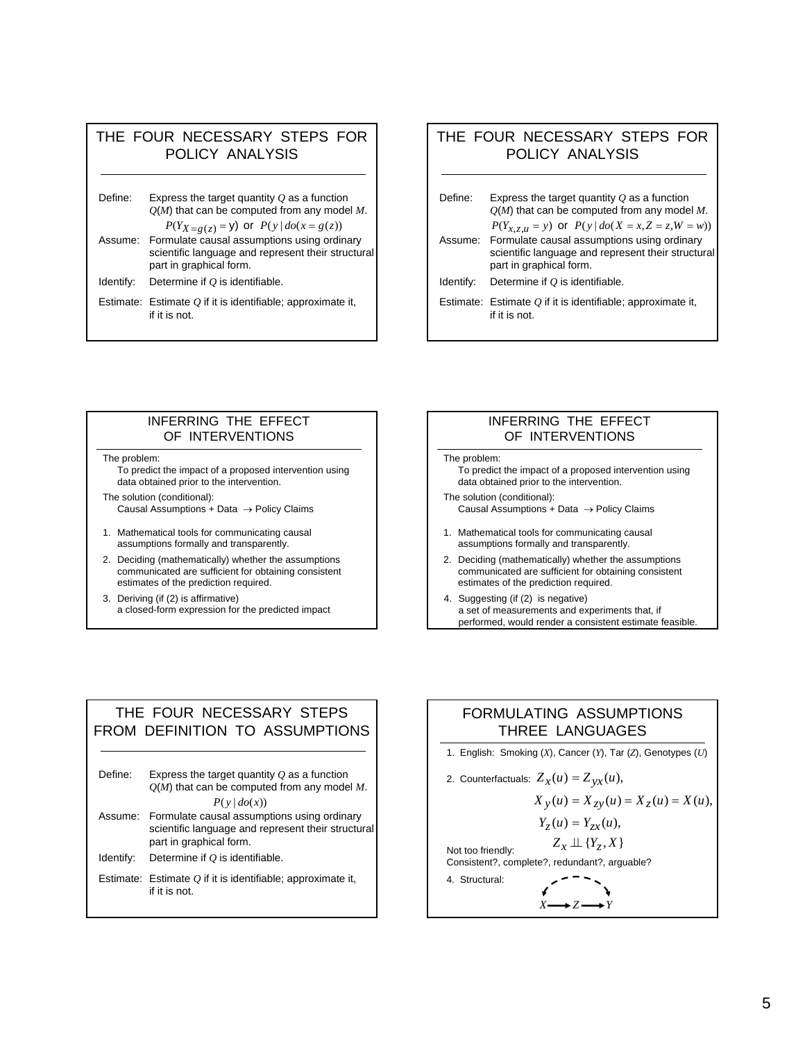### THE FOUR NECESSARY STEPS FOR POLICY ANALYSIS

| Define:   | Express the target quantity $Q$ as a function<br>$Q(M)$ that can be computed from any model M. |
|-----------|------------------------------------------------------------------------------------------------|
| Assume:   | $P(Y_{X=g(z)}=y)$ or $P(y   do(x = g(z))$<br>Formulate causal assumptions using ordinary       |
|           | scientific language and represent their structural<br>part in graphical form.                  |
| Identify: | Determine if $O$ is identifiable.                                                              |
|           | Estimate: Estimate $Q$ if it is identifiable; approximate it,                                  |

### THE FOUR NECESSARY STEPS FOR POLICY ANALYSIS

| Express the target quantity $Q$ as a function<br>$O(M)$ that can be computed from any model M.                                       |
|--------------------------------------------------------------------------------------------------------------------------------------|
| $P(Y_{x,z,u} = y)$ or $P(y   do(X = x, Z = z, W = w))$                                                                               |
| Assume: Formulate causal assumptions using ordinary<br>scientific language and represent their structural<br>part in graphical form. |
| Determine if $O$ is identifiable.                                                                                                    |
| Estimate: Estimate $O$ if it is identifiable; approximate it,<br>if it is not.                                                       |
|                                                                                                                                      |

#### INFERRING THE EFFECT OF INTERVENTIONS

The problem:

if it is not.

To predict the impact of a proposed intervention using data obtained prior to the intervention.

The solution (conditional): Causal Assumptions + Data  $\rightarrow$  Policy Claims

- 1. Mathematical tools for communicating causal assumptions formally and transparently.
- 2. Deciding (mathematically) whether the assumptions communicated are sufficient for obtaining consistent estimates of the prediction required.
- 3. Deriving (if (2) is affirmative) a closed-form expression for the predicted impact

#### INFERRING THE EFFECT OF INTERVENTIONS

The problem:

- To predict the impact of a proposed intervention using data obtained prior to the intervention.
- The solution (conditional): Causal Assumptions + Data  $\rightarrow$  Policy Claims
- 1. Mathematical tools for communicating causal assumptions formally and transparently.
- 2. Deciding (mathematically) whether the assumptions communicated are sufficient for obtaining consistent estimates of the prediction required.
- 4. Suggesting (if (2) is negative) a set of measurements and experiments that, if performed, would render a consistent estimate feasible.

#### THE FOUR NECESSARY STEPS FROM DEFINITION TO ASSUMPTIONS

| Define:   | Express the target quantity $Q$ as a function<br>$Q(M)$ that can be computed from any model M.                                       |
|-----------|--------------------------------------------------------------------------------------------------------------------------------------|
|           | P(y   do(x))                                                                                                                         |
|           | Assume: Formulate causal assumptions using ordinary<br>scientific language and represent their structural<br>part in graphical form. |
| Identify: | Determine if $O$ is identifiable.                                                                                                    |
|           | Estimate: Estimate $O$ if it is identifiable; approximate it,<br>if it is not.                                                       |

# FORMULATING ASSUMPTIONS THREE LANGUAGES 1. English: Smoking (*X*), Cancer (*Y*), Tar (*Z*), Genotypes (*U*)

2. Counterfactuals:  $Z_{\chi}(u) = Z_{yx}(u)$ ,

$$
X_{y}(u) = X_{zy}(u) = X_{z}(u) = X(u),
$$

$$
Y_{Z}(u)=Y_{ZX}(u),
$$

 $Z_x \perp \!\!\! \perp \{Y_z, X\}$ 

Not too friendly: Consistent?, complete?, redundant?, arguable?

 $X \rightarrow Z \rightarrow Y$ 4. Structural: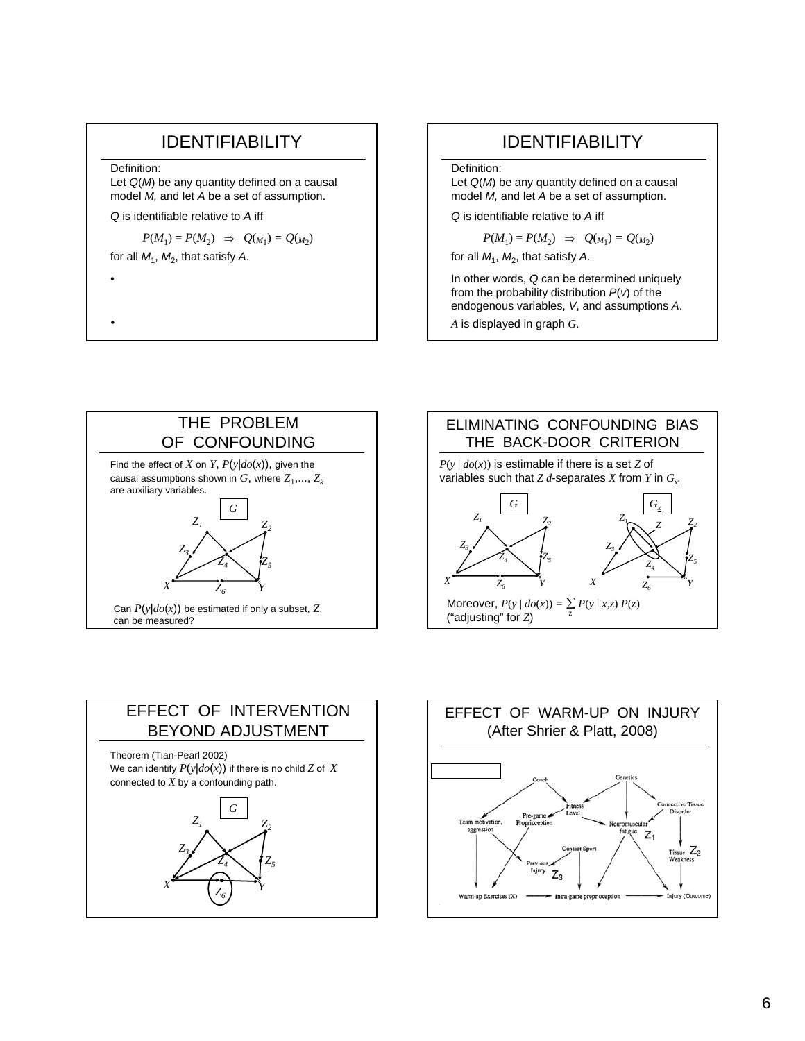## IDENTIFIABILITY

Definition:

Let *Q*(*M*) be any quantity defined on a causal model *M,* and let *A* be a set of assumption.

*Q* is identifiable relative to *A* iff

 $P(M_1) = P(M_2) \Rightarrow Q(M_1) = Q(M_2)$ 

for all  $M_1$ ,  $M_2$ , that satisfy A.

•

•

## IDENTIFIABILITY

#### Definition:

Let *Q*(*M*) be any quantity defined on a causal model *M,* and let *A* be a set of assumption.

*Q* is identifiable relative to *A* iff

$$
P(M_1) = P(M_2) \Rightarrow Q(M_1) = Q(M_2)
$$

for all  $M_1$ ,  $M_2$ , that satisfy A.

In other words, *Q* can be determined uniquely from the probability distribution *P*(*v*) of the endogenous variables, *V*, and assumptions *A*.

*A* is displayed in graph *G*.







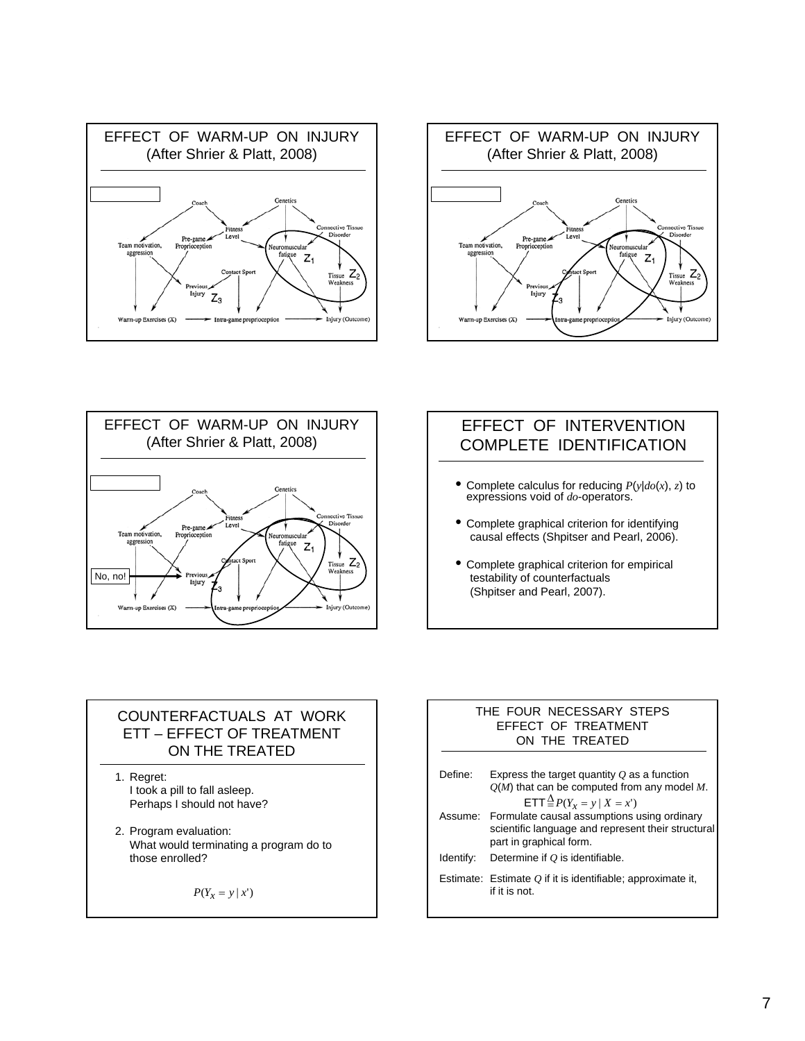





### EFFECT OF INTERVENTION COMPLETE IDENTIFICATION

- Complete calculus for reducing  $P(y|do(x), z)$  to expressions void of *do*-operators.
- Complete graphical criterion for identifying causal effects (Shpitser and Pearl, 2006).
- Complete graphical criterion for empirical testability of counterfactuals (Shpitser and Pearl, 2007).

### COUNTERFACTUALS AT WORK ETT – EFFECT OF TREATMENT ON THE TREATED

1. Regret: I took a pill to fall asleep. Perhaps I should not have?

2. Program evaluation: What would terminating a program do to those enrolled?

 $P(Y_x = y | x')$ 

#### THE FOUR NECESSARY STEPS EFFECT OF TREATMENT ON THE TREATED

| Define:   | Express the target quantity $\overline{O}$ as a function<br>$Q(M)$ that can be computed from any model M.<br>ETT $\frac{\Delta}{2}P(Y_x = y   X = x')$ |
|-----------|--------------------------------------------------------------------------------------------------------------------------------------------------------|
|           | Assume: Formulate causal assumptions using ordinary<br>scientific language and represent their structural<br>part in graphical form.                   |
| Identify: | Determine if O is identifiable.                                                                                                                        |
|           | Estimate: Estimate $Q$ if it is identifiable; approximate it,<br>if it is not.                                                                         |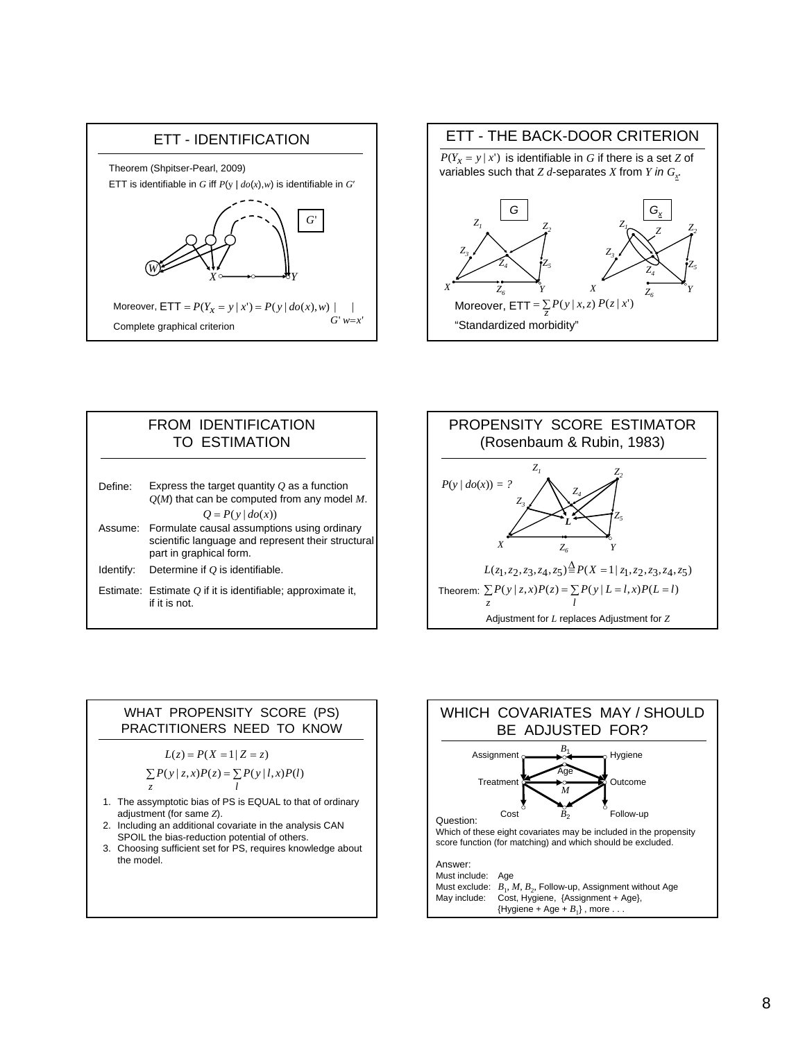







#### WHAT PROPENSITY SCORE (PS) PRACTITIONERS NEED TO KNOW

$$
L(z) = P(X = 1 | Z = z)
$$
  
\n
$$
\sum_{z} P(y | z, x) P(z) = \sum_{l} P(y | l, x) P(l)
$$

- 1. The assymptotic bias of PS is EQUAL to that of ordinary adjustment (for same *Z*).
- 2. Including an additional covariate in the analysis CAN SPOIL the bias-reduction potential of others.
- 3. Choosing sufficient set for PS, requires knowledge about the model.

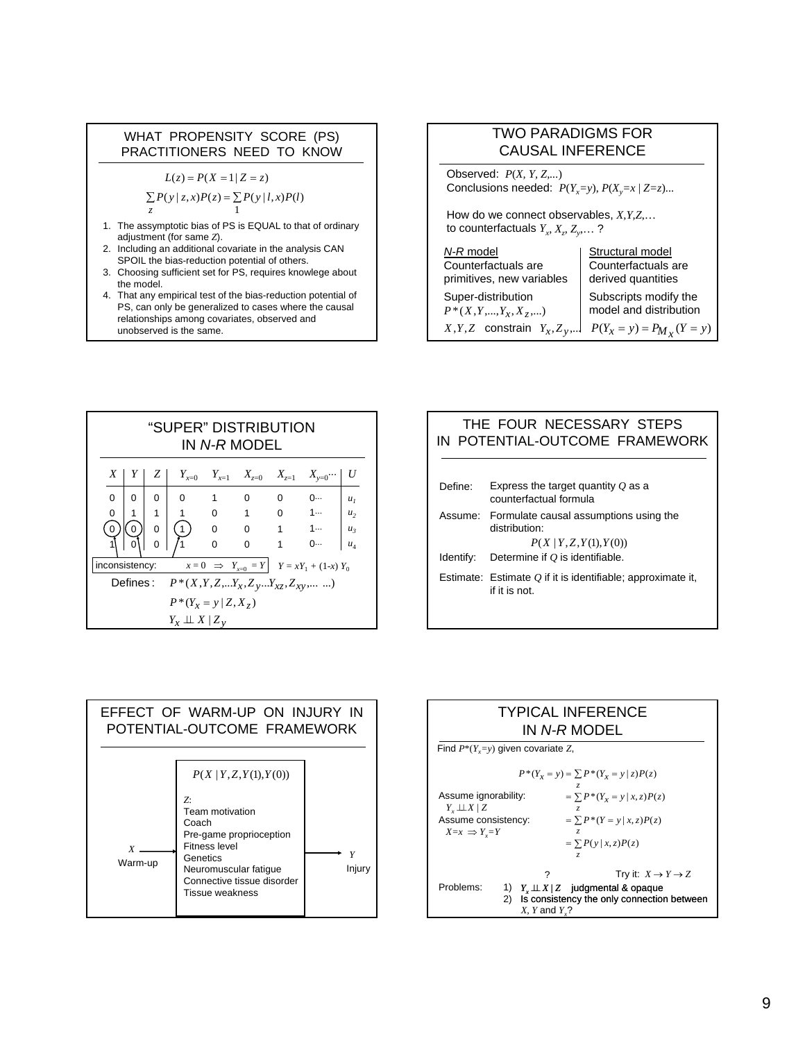#### WHAT PROPENSITY SCORE (PS) PRACTITIONERS NEED TO KNOW

 $L(z) = P(X = 1 | Z = z)$ 

$$
\sum_{z} P(y \mid z, x) P(z) = \sum_{z} P(y \mid l, x) P(l)
$$

- 1. The assymptotic bias of PS is EQUAL to that of ordinary adjustment (for same *Z*).
- 2. Including an additional covariate in the analysis CAN SPOIL the bias-reduction potential of others.
- 3. Choosing sufficient set for PS, requires knowlege about the model.
- 4. That any empirical test of the bias-reduction potential of PS, can only be generalized to cases where the causal relationships among covariates, observed and unobserved is the same.

| TWO PARADIGMS FOR                                     |                               |
|-------------------------------------------------------|-------------------------------|
| CAUSAL INFERENCE                                      |                               |
| Observed: $P(X, Y, Z, ...)$                           |                               |
| Conclusions needed: $P(Y_x=y)$ , $P(X_y=x   Z=z)$ ... |                               |
| How do we connect observables, $X, Y, Z, ...$         |                               |
| to counterfactuals $Y_x, X_y, Z_y, ...$ ?             |                               |
| <i>N-R model</i>                                      | Structural model              |
| Counterfactuals are                                   | Counterfactuals are           |
| primitives, new variables                             | Reviewed quantities           |
| Super-distribution                                    | Subscripts modify the         |
| $P^*(X, Y, ..., Y_x, X_z, ...)$                       | model and distribution        |
| $X, Y, Z$ constraint $Y_x, Z_y, ...$                  | $P(Y_x = y) = P_{M_x}(Y = y)$ |

|                | "SUPER" DISTRIBUTION<br>IN <i>N-R</i> MODFI |                |                                                        |                                               |                             |                |                                                   |                |
|----------------|---------------------------------------------|----------------|--------------------------------------------------------|-----------------------------------------------|-----------------------------|----------------|---------------------------------------------------|----------------|
| X              | Y                                           | Z <sub>1</sub> |                                                        |                                               |                             |                | $Y_{x=0}$ $Y_{x=1}$ $X_{z=0}$ $X_{z=1}$ $X_{y=0}$ | U              |
| $\Omega$       | 0                                           | 0              | 0                                                      | $\overline{\phantom{0}}$ 1                    | 0                           | $\mathbf 0$    | 0…                                                | $u_{1}$        |
| 0              | 1                                           | 1              | 1                                                      | $\begin{array}{ccc} 0 & 1 \\ & & \end{array}$ |                             | $\overline{0}$ | $-1$                                              | u <sub>2</sub> |
| 0              | $\mathbf{0}$                                | $\Omega$       | $\mathbf{1}$                                           | $0\qquad 0$                                   |                             |                | $1 \qquad 1 \cdots$                               | $u_{3}$        |
|                |                                             | ი              |                                                        | $\Omega$                                      | $\Omega$                    | 1              | 0                                                 | $u_4$          |
| inconsistency: |                                             |                |                                                        |                                               | $x=0 \Rightarrow Y_{x=0}=Y$ |                | $Y = xY_1 + (1-x)Y_0$                             |                |
|                |                                             |                | Defines: $P^*(X, Y, Z,  Y_x, Z_y,  Y_{xz}, Z_{xy},  )$ |                                               |                             |                |                                                   |                |
|                | $P^*(Y_x = y   Z, X_z)$                     |                |                                                        |                                               |                             |                |                                                   |                |
|                |                                             |                | $Y_x \perp \!\!\! \perp X \mid Z_y$                    |                                               |                             |                |                                                   |                |

#### THE FOUR NECESSARY STEPS IN POTENTIAL-OUTCOME FRAMEWORK

| Define:   | Express the target quantity $Q$ as a<br>counterfactual formula                             |
|-----------|--------------------------------------------------------------------------------------------|
|           | Assume: Formulate causal assumptions using the<br>distribution:<br>P(X   Y, Z, Y(1), Y(0)) |
| Identify: | Determine if $O$ is identifiable.                                                          |
|           | Estimate: Estimate $O$ if it is identifiable; approximate it,<br>if it is not.             |



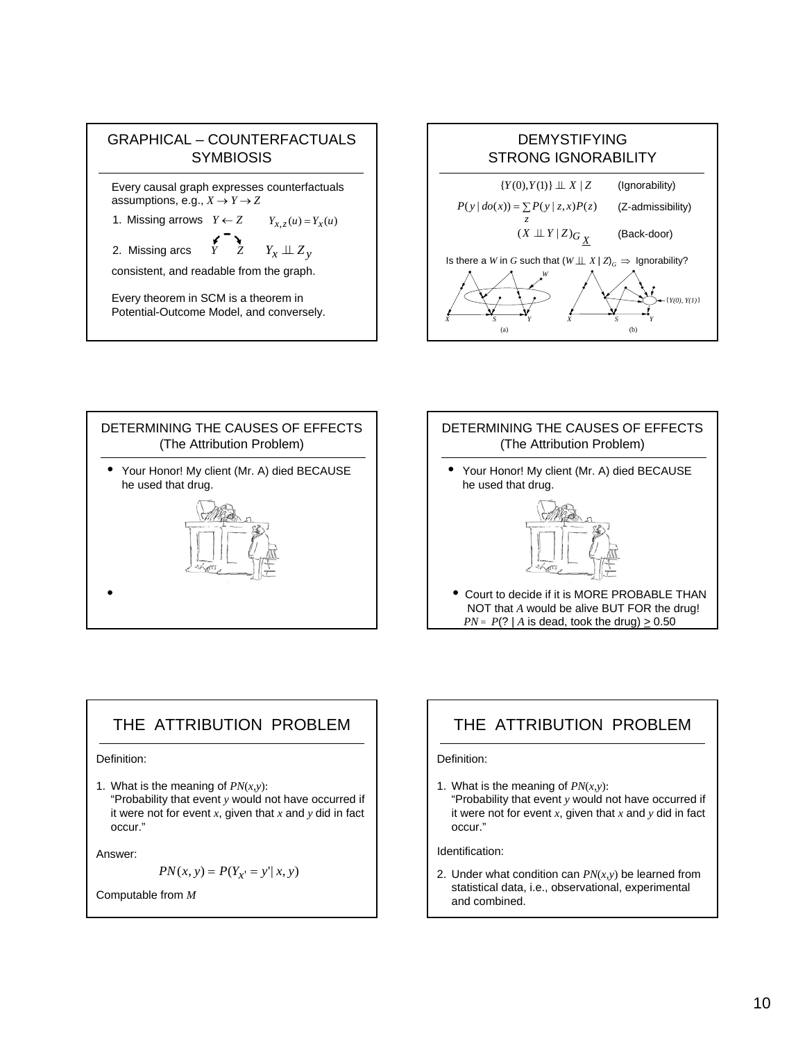







## THE ATTRIBUTION PROBLEM

Definition:

1. What is the meaning of *PN*(*x,y*): "Probability that event *y* would not have occurred if it were not for event *x*, given that *x* and *y* did in fact occur."

Answer:

$$
PN(x, y) = P(Y_{x'} = y' | x, y)
$$

Computable from *M*

## THE ATTRIBUTION PROBLEM

#### Definition:

1. What is the meaning of *PN*(*x,y*): "Probability that event *y* would not have occurred if it were not for event *x*, given that *x* and *y* did in fact occur."

Identification:

2. Under what condition can *PN*(*x,y*) be learned from statistical data, i.e., observational, experimental and combined.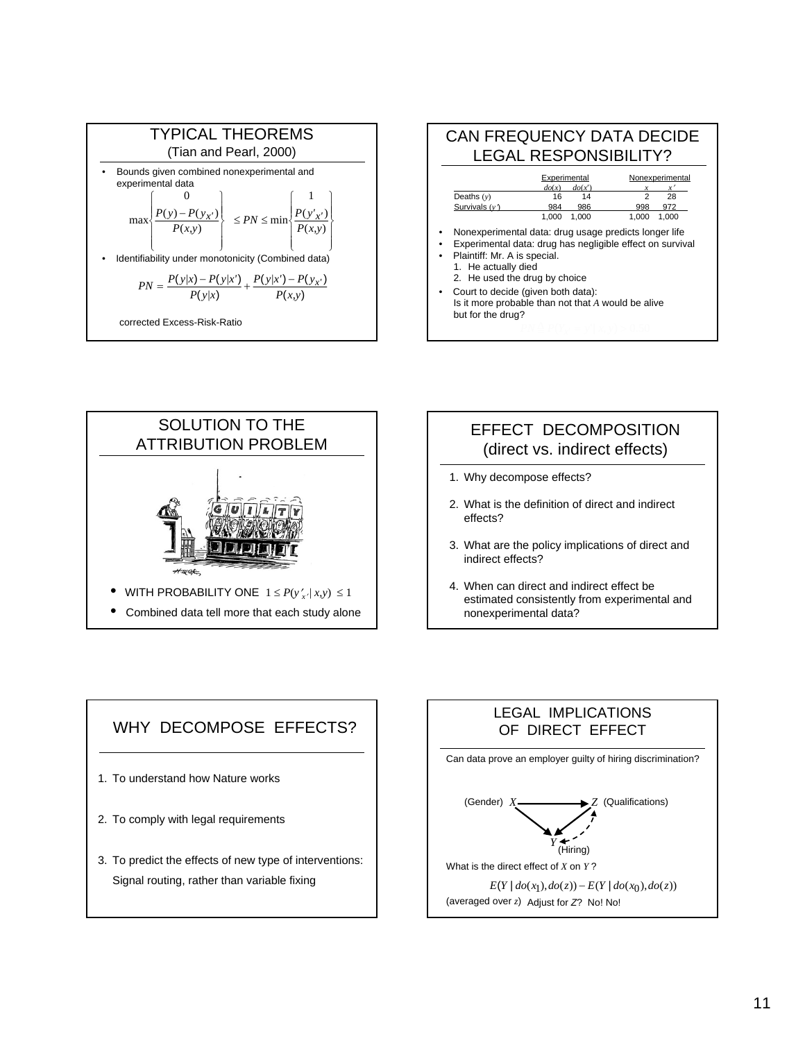







- 3. What are the policy implications of direct and indirect effects?
- 4. When can direct and indirect effect be estimated consistently from experimental and nonexperimental data?



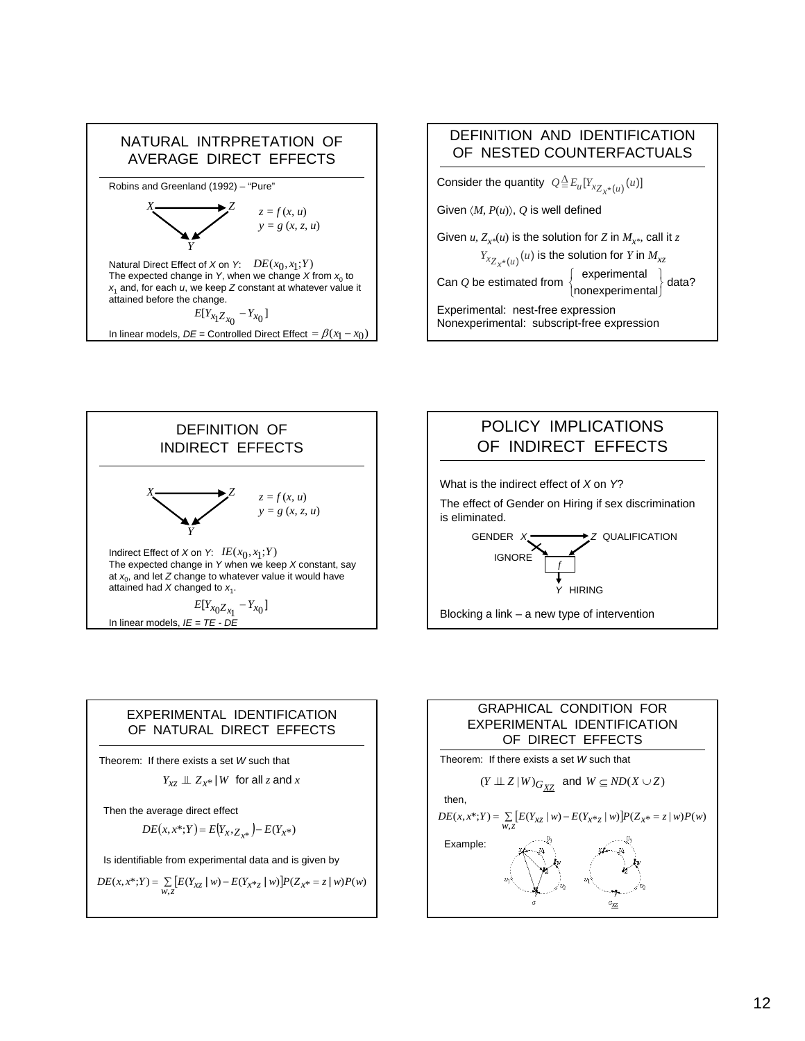







#### EXPERIMENTAL IDENTIFICATION OF NATURAL DIRECT EFFECTS

Theorem: If there exists a set *W* such that

$$
Y_{xz} \perp\!\!\!\perp Z_{x^*} \mid W \text{ for all } z \text{ and } x
$$

Then the average direct effect

$$
DE(x, x^*; Y) = E(Y_x, Z_{x^*}) - E(Y_{x^*})
$$

Is identifiable from experimental data and is given by

 $DE(x, x^*; Y) = \sum_{w \text{ } z} [E(Y_{xz} | w) - E(Y_{x^*z} | w)] P(Z_{x^*z} = z | w) P(w)$